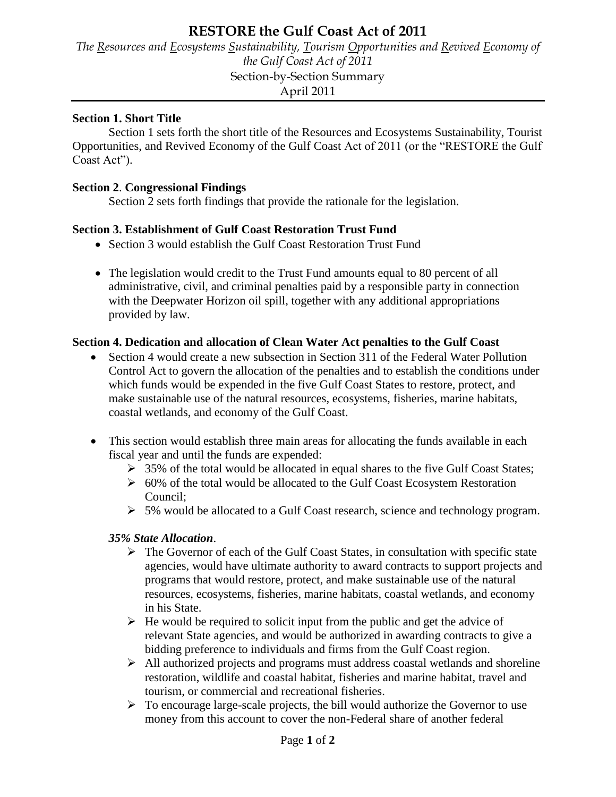# **RESTORE the Gulf Coast Act of 2011**

*The Resources and Ecosystems Sustainability, Tourism Opportunities and Revived Economy of the Gulf Coast Act of 2011*  Section-by-Section Summary April 2011

#### **Section 1. Short Title**

Section 1 sets forth the short title of the Resources and Ecosystems Sustainability, Tourist Opportunities, and Revived Economy of the Gulf Coast Act of 2011 (or the "RESTORE the Gulf Coast Act").

#### **Section 2**. **Congressional Findings**

Section 2 sets forth findings that provide the rationale for the legislation.

#### **Section 3. Establishment of Gulf Coast Restoration Trust Fund**

- Section 3 would establish the Gulf Coast Restoration Trust Fund
- The legislation would credit to the Trust Fund amounts equal to 80 percent of all administrative, civil, and criminal penalties paid by a responsible party in connection with the Deepwater Horizon oil spill, together with any additional appropriations provided by law.

#### **Section 4. Dedication and allocation of Clean Water Act penalties to the Gulf Coast**

- Section 4 would create a new subsection in Section 311 of the Federal Water Pollution Control Act to govern the allocation of the penalties and to establish the conditions under which funds would be expended in the five Gulf Coast States to restore, protect, and make sustainable use of the natural resources, ecosystems, fisheries, marine habitats, coastal wetlands, and economy of the Gulf Coast.
- This section would establish three main areas for allocating the funds available in each fiscal year and until the funds are expended:
	- $\geq 35\%$  of the total would be allocated in equal shares to the five Gulf Coast States;
	- $\geq 60\%$  of the total would be allocated to the Gulf Coast Ecosystem Restoration Council;
	- $\geq 5\%$  would be allocated to a Gulf Coast research, science and technology program.

#### *35% State Allocation*.

- $\triangleright$  The Governor of each of the Gulf Coast States, in consultation with specific state agencies, would have ultimate authority to award contracts to support projects and programs that would restore, protect, and make sustainable use of the natural resources, ecosystems, fisheries, marine habitats, coastal wetlands, and economy in his State.
- $\triangleright$  He would be required to solicit input from the public and get the advice of relevant State agencies, and would be authorized in awarding contracts to give a bidding preference to individuals and firms from the Gulf Coast region.
- $\triangleright$  All authorized projects and programs must address coastal wetlands and shoreline restoration, wildlife and coastal habitat, fisheries and marine habitat, travel and tourism, or commercial and recreational fisheries.
- $\triangleright$  To encourage large-scale projects, the bill would authorize the Governor to use money from this account to cover the non-Federal share of another federal